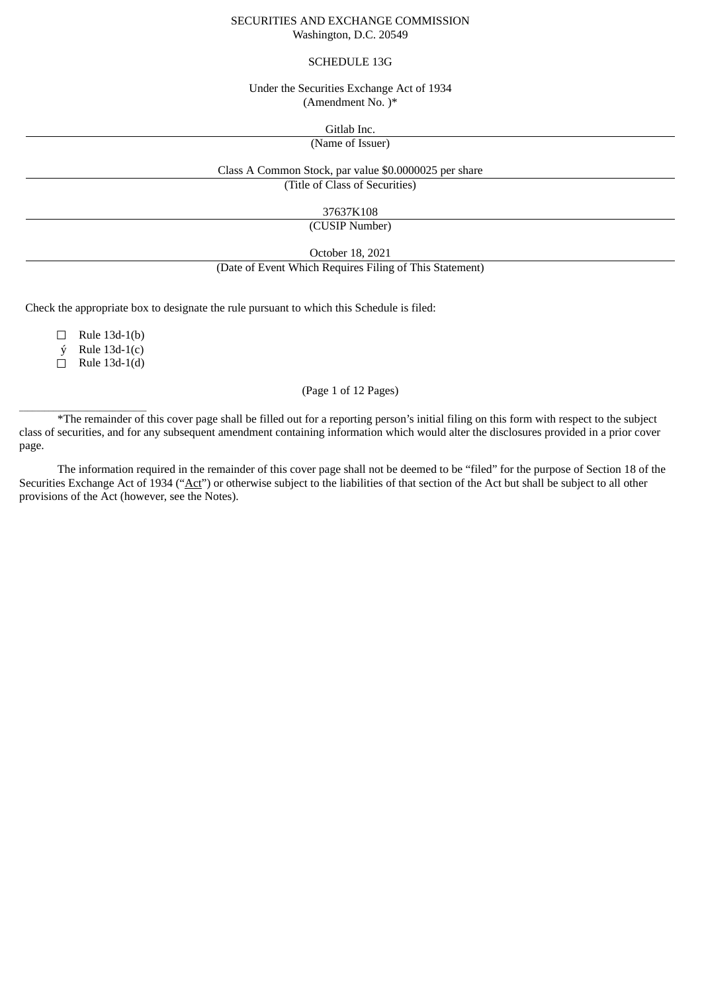# SECURITIES AND EXCHANGE COMMISSION Washington, D.C. 20549

# SCHEDULE 13G

## Under the Securities Exchange Act of 1934 (Amendment No. )\*

Gitlab Inc.

(Name of Issuer)

Class A Common Stock, par value \$0.0000025 per share

(Title of Class of Securities)

37637K108

(CUSIP Number)

October 18, 2021

(Date of Event Which Requires Filing of This Statement)

Check the appropriate box to designate the rule pursuant to which this Schedule is filed:

☐ Rule 13d-1(b)

ý Rule 13d-1(c)

 $\Box$  Rule 13d-1(d)

# (Page 1 of 12 Pages)

\_\_\_\_\_\_\_\_\_\_\_\_\_\_\_\_\_\_\_\_\_\_\_\_\_\_\_\_\_\_ \*The remainder of this cover page shall be filled out for a reporting person's initial filing on this form with respect to the subject class of securities, and for any subsequent amendment containing information which would alter the disclosures provided in a prior cover page.

The information required in the remainder of this cover page shall not be deemed to be "filed" for the purpose of Section 18 of the Securities Exchange Act of 1934 ("Act") or otherwise subject to the liabilities of that section of the Act but shall be subject to all other provisions of the Act (however, see the Notes).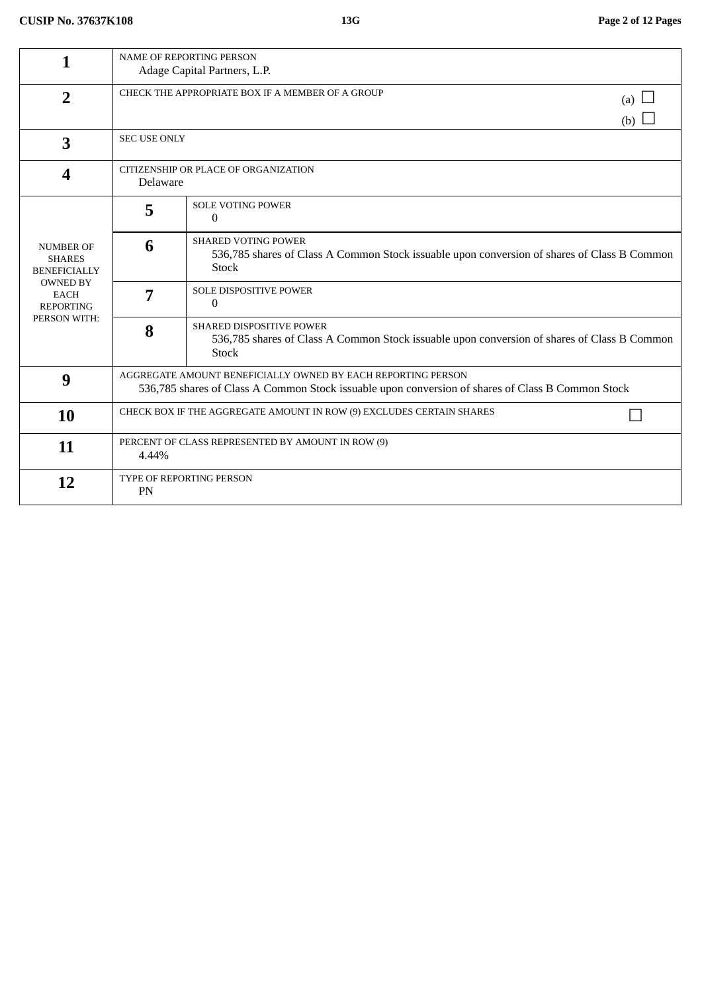| 1                                                                                                                              | <b>NAME OF REPORTING PERSON</b><br>Adage Capital Partners, L.P.                                                                                                   |                                                                                                                                    |  |
|--------------------------------------------------------------------------------------------------------------------------------|-------------------------------------------------------------------------------------------------------------------------------------------------------------------|------------------------------------------------------------------------------------------------------------------------------------|--|
| $\overline{2}$                                                                                                                 | CHECK THE APPROPRIATE BOX IF A MEMBER OF A GROUP<br>(a)<br>(b)                                                                                                    |                                                                                                                                    |  |
| 3                                                                                                                              | SEC USE ONLY                                                                                                                                                      |                                                                                                                                    |  |
| $\boldsymbol{4}$                                                                                                               | CITIZENSHIP OR PLACE OF ORGANIZATION<br>Delaware                                                                                                                  |                                                                                                                                    |  |
|                                                                                                                                | 5                                                                                                                                                                 | <b>SOLE VOTING POWER</b><br>$\Omega$                                                                                               |  |
| <b>NUMBER OF</b><br><b>SHARES</b><br><b>BENEFICIALLY</b><br><b>OWNED BY</b><br><b>EACH</b><br><b>REPORTING</b><br>PERSON WITH: | 6                                                                                                                                                                 | <b>SHARED VOTING POWER</b><br>536,785 shares of Class A Common Stock issuable upon conversion of shares of Class B Common<br>Stock |  |
|                                                                                                                                | 7                                                                                                                                                                 | SOLE DISPOSITIVE POWER<br>0                                                                                                        |  |
|                                                                                                                                | 8                                                                                                                                                                 | SHARED DISPOSITIVE POWER<br>536,785 shares of Class A Common Stock issuable upon conversion of shares of Class B Common<br>Stock   |  |
| 9                                                                                                                              | AGGREGATE AMOUNT BENEFICIALLY OWNED BY EACH REPORTING PERSON<br>536,785 shares of Class A Common Stock issuable upon conversion of shares of Class B Common Stock |                                                                                                                                    |  |
| 10                                                                                                                             | CHECK BOX IF THE AGGREGATE AMOUNT IN ROW (9) EXCLUDES CERTAIN SHARES                                                                                              |                                                                                                                                    |  |
| 11                                                                                                                             | PERCENT OF CLASS REPRESENTED BY AMOUNT IN ROW (9)<br>4.44%                                                                                                        |                                                                                                                                    |  |
| 12                                                                                                                             | <b>TYPE OF REPORTING PERSON</b><br>PN                                                                                                                             |                                                                                                                                    |  |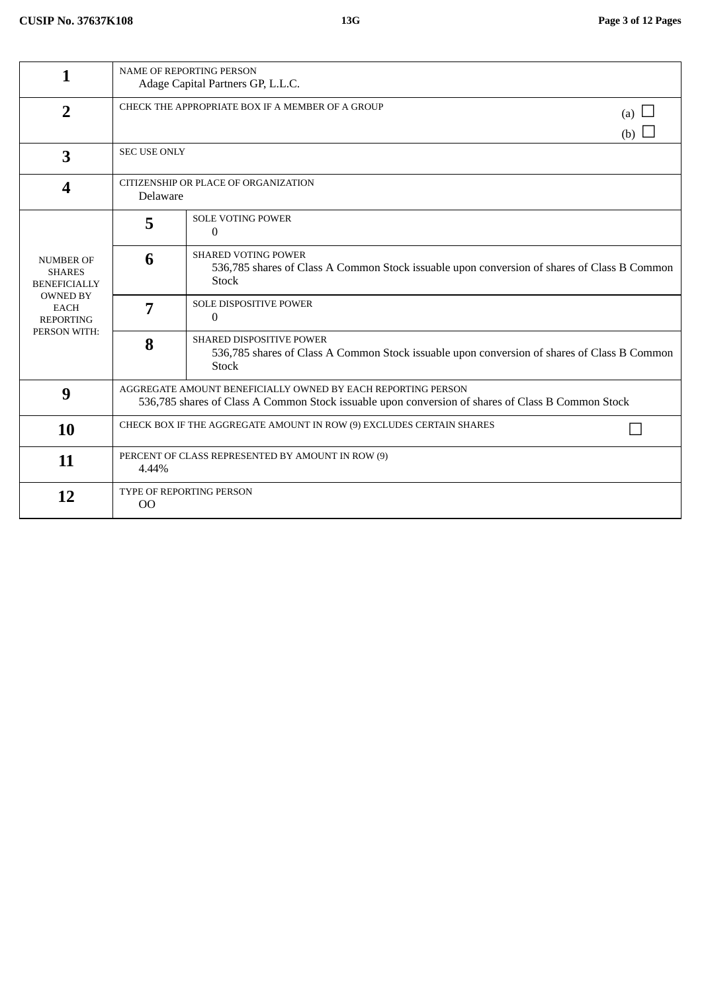|                                                                                                                                | <b>NAME OF REPORTING PERSON</b><br>Adage Capital Partners GP, L.L.C.                                                                                              |                                                                                                                                           |  |  |
|--------------------------------------------------------------------------------------------------------------------------------|-------------------------------------------------------------------------------------------------------------------------------------------------------------------|-------------------------------------------------------------------------------------------------------------------------------------------|--|--|
| $\overline{2}$                                                                                                                 |                                                                                                                                                                   | CHECK THE APPROPRIATE BOX IF A MEMBER OF A GROUP<br>(a) $\Box$<br>(b) $\Box$                                                              |  |  |
| 3                                                                                                                              |                                                                                                                                                                   | <b>SEC USE ONLY</b>                                                                                                                       |  |  |
| $\overline{\mathbf{4}}$                                                                                                        | CITIZENSHIP OR PLACE OF ORGANIZATION<br>Delaware                                                                                                                  |                                                                                                                                           |  |  |
| <b>NUMBER OF</b><br><b>SHARES</b><br><b>BENEFICIALLY</b><br><b>OWNED BY</b><br><b>EACH</b><br><b>REPORTING</b><br>PERSON WITH: | 5                                                                                                                                                                 | <b>SOLE VOTING POWER</b><br>0                                                                                                             |  |  |
|                                                                                                                                | 6                                                                                                                                                                 | <b>SHARED VOTING POWER</b><br>536,785 shares of Class A Common Stock issuable upon conversion of shares of Class B Common<br><b>Stock</b> |  |  |
|                                                                                                                                | 7                                                                                                                                                                 | SOLE DISPOSITIVE POWER<br>0                                                                                                               |  |  |
|                                                                                                                                | 8                                                                                                                                                                 | SHARED DISPOSITIVE POWER<br>536,785 shares of Class A Common Stock issuable upon conversion of shares of Class B Common<br><b>Stock</b>   |  |  |
| 9                                                                                                                              | AGGREGATE AMOUNT BENEFICIALLY OWNED BY EACH REPORTING PERSON<br>536,785 shares of Class A Common Stock issuable upon conversion of shares of Class B Common Stock |                                                                                                                                           |  |  |
| 10                                                                                                                             | CHECK BOX IF THE AGGREGATE AMOUNT IN ROW (9) EXCLUDES CERTAIN SHARES                                                                                              |                                                                                                                                           |  |  |
| 11                                                                                                                             | PERCENT OF CLASS REPRESENTED BY AMOUNT IN ROW (9)<br>4.44%                                                                                                        |                                                                                                                                           |  |  |
| 12                                                                                                                             | <b>TYPE OF REPORTING PERSON</b><br><sub>OO</sub>                                                                                                                  |                                                                                                                                           |  |  |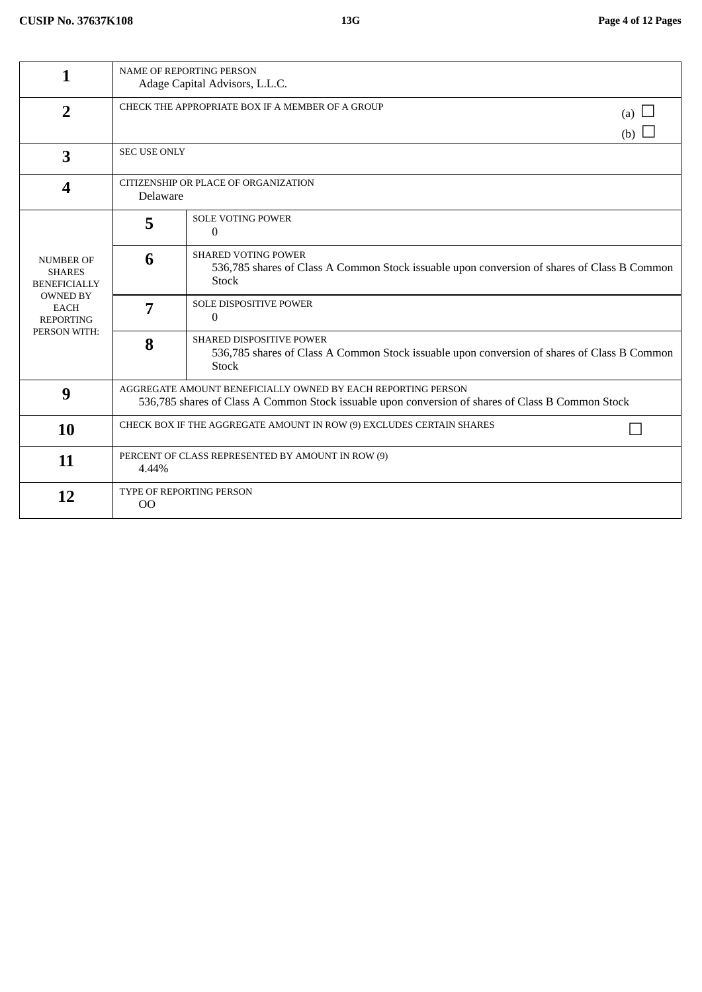|                                                                                                                                | <b>NAME OF REPORTING PERSON</b><br>Adage Capital Advisors, L.L.C.                                                                                                 |                                                                                                                                           |  |  |
|--------------------------------------------------------------------------------------------------------------------------------|-------------------------------------------------------------------------------------------------------------------------------------------------------------------|-------------------------------------------------------------------------------------------------------------------------------------------|--|--|
| $\overline{2}$                                                                                                                 | CHECK THE APPROPRIATE BOX IF A MEMBER OF A GROUP<br>(a) $\Box$<br>(b) $\Box$                                                                                      |                                                                                                                                           |  |  |
| 3                                                                                                                              |                                                                                                                                                                   | <b>SEC USE ONLY</b>                                                                                                                       |  |  |
| $\overline{\mathbf{4}}$                                                                                                        | CITIZENSHIP OR PLACE OF ORGANIZATION<br>Delaware                                                                                                                  |                                                                                                                                           |  |  |
|                                                                                                                                | 5                                                                                                                                                                 | <b>SOLE VOTING POWER</b><br>0                                                                                                             |  |  |
| <b>NUMBER OF</b><br><b>SHARES</b><br><b>BENEFICIALLY</b><br><b>OWNED BY</b><br><b>EACH</b><br><b>REPORTING</b><br>PERSON WITH: | 6                                                                                                                                                                 | <b>SHARED VOTING POWER</b><br>536,785 shares of Class A Common Stock issuable upon conversion of shares of Class B Common<br><b>Stock</b> |  |  |
|                                                                                                                                | 7                                                                                                                                                                 | <b>SOLE DISPOSITIVE POWER</b><br>0                                                                                                        |  |  |
|                                                                                                                                | 8                                                                                                                                                                 | SHARED DISPOSITIVE POWER<br>536,785 shares of Class A Common Stock issuable upon conversion of shares of Class B Common<br><b>Stock</b>   |  |  |
| 9                                                                                                                              | AGGREGATE AMOUNT BENEFICIALLY OWNED BY EACH REPORTING PERSON<br>536,785 shares of Class A Common Stock issuable upon conversion of shares of Class B Common Stock |                                                                                                                                           |  |  |
| 10                                                                                                                             | CHECK BOX IF THE AGGREGATE AMOUNT IN ROW (9) EXCLUDES CERTAIN SHARES                                                                                              |                                                                                                                                           |  |  |
| 11                                                                                                                             | PERCENT OF CLASS REPRESENTED BY AMOUNT IN ROW (9)<br>4.44%                                                                                                        |                                                                                                                                           |  |  |
| 12                                                                                                                             | <b>TYPE OF REPORTING PERSON</b><br><sub>OO</sub>                                                                                                                  |                                                                                                                                           |  |  |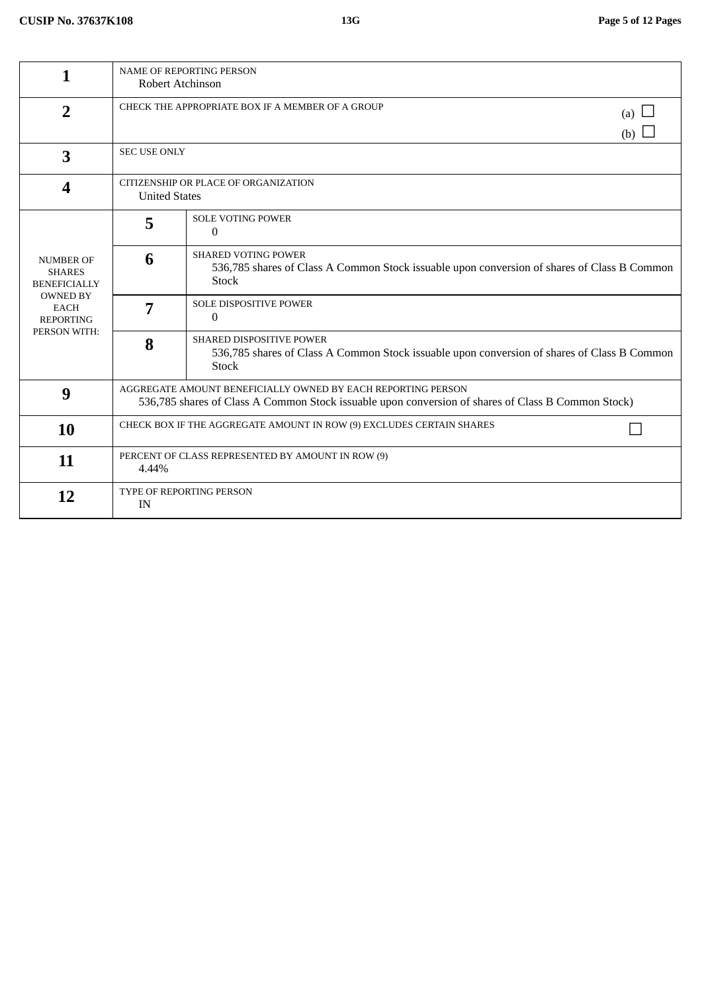|                                                                                                                                | <b>NAME OF REPORTING PERSON</b><br>Robert Atchinson                                                                                                                |                                                                                                                                           |  |
|--------------------------------------------------------------------------------------------------------------------------------|--------------------------------------------------------------------------------------------------------------------------------------------------------------------|-------------------------------------------------------------------------------------------------------------------------------------------|--|
| $\overline{2}$                                                                                                                 | CHECK THE APPROPRIATE BOX IF A MEMBER OF A GROUP<br>(a) $\Box$<br>(b) $\Box$                                                                                       |                                                                                                                                           |  |
| 3                                                                                                                              | <b>SEC USE ONLY</b>                                                                                                                                                |                                                                                                                                           |  |
| $\overline{\mathbf{4}}$                                                                                                        | CITIZENSHIP OR PLACE OF ORGANIZATION<br><b>United States</b>                                                                                                       |                                                                                                                                           |  |
| <b>NUMBER OF</b><br><b>SHARES</b><br><b>BENEFICIALLY</b><br><b>OWNED BY</b><br><b>EACH</b><br><b>REPORTING</b><br>PERSON WITH: | 5                                                                                                                                                                  | <b>SOLE VOTING POWER</b><br>$\mathbf{0}$                                                                                                  |  |
|                                                                                                                                | 6                                                                                                                                                                  | <b>SHARED VOTING POWER</b><br>536,785 shares of Class A Common Stock issuable upon conversion of shares of Class B Common<br><b>Stock</b> |  |
|                                                                                                                                | 7                                                                                                                                                                  | SOLE DISPOSITIVE POWER<br>$\Omega$                                                                                                        |  |
|                                                                                                                                | 8                                                                                                                                                                  | SHARED DISPOSITIVE POWER<br>536,785 shares of Class A Common Stock issuable upon conversion of shares of Class B Common<br><b>Stock</b>   |  |
| 9                                                                                                                              | AGGREGATE AMOUNT BENEFICIALLY OWNED BY EACH REPORTING PERSON<br>536,785 shares of Class A Common Stock issuable upon conversion of shares of Class B Common Stock) |                                                                                                                                           |  |
| 10                                                                                                                             | CHECK BOX IF THE AGGREGATE AMOUNT IN ROW (9) EXCLUDES CERTAIN SHARES                                                                                               |                                                                                                                                           |  |
| 11                                                                                                                             | PERCENT OF CLASS REPRESENTED BY AMOUNT IN ROW (9)<br>4.44%                                                                                                         |                                                                                                                                           |  |
| 12                                                                                                                             | <b>TYPE OF REPORTING PERSON</b><br>IN                                                                                                                              |                                                                                                                                           |  |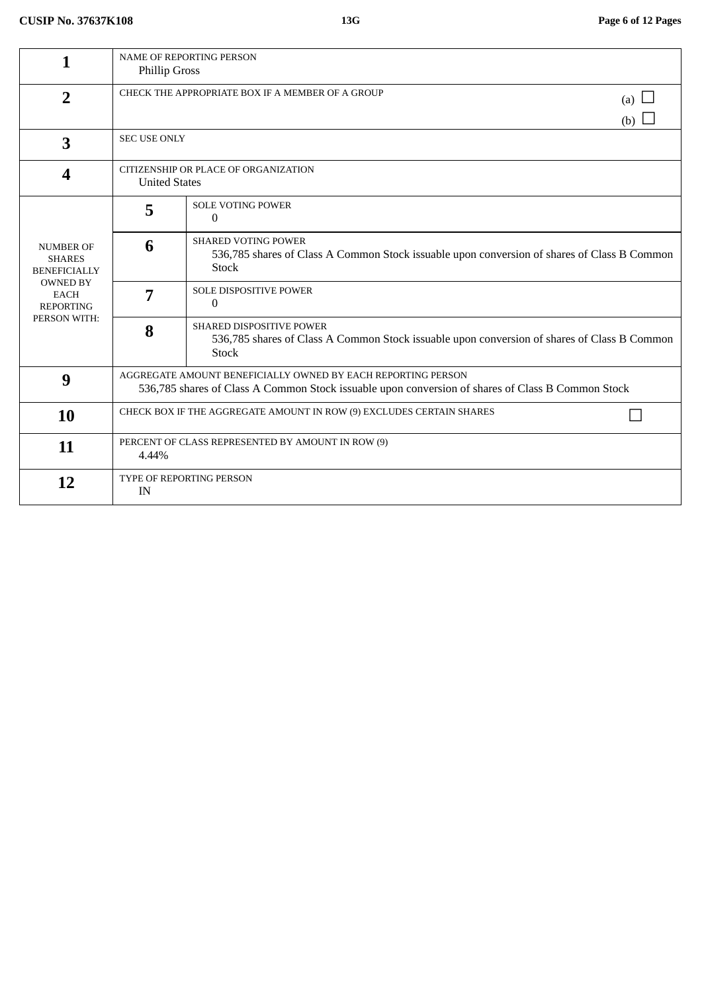| 1                                                                                                                              | <b>NAME OF REPORTING PERSON</b><br><b>Phillip Gross</b>                                                                                                           |                                                                                                                                                |  |
|--------------------------------------------------------------------------------------------------------------------------------|-------------------------------------------------------------------------------------------------------------------------------------------------------------------|------------------------------------------------------------------------------------------------------------------------------------------------|--|
| $\overline{2}$                                                                                                                 | CHECK THE APPROPRIATE BOX IF A MEMBER OF A GROUP<br>(a) $\Box$<br>(b)                                                                                             |                                                                                                                                                |  |
| $\overline{\mathbf{3}}$                                                                                                        | <b>SEC USE ONLY</b>                                                                                                                                               |                                                                                                                                                |  |
| $\overline{\mathbf{4}}$                                                                                                        | CITIZENSHIP OR PLACE OF ORGANIZATION<br><b>United States</b>                                                                                                      |                                                                                                                                                |  |
|                                                                                                                                | 5                                                                                                                                                                 | <b>SOLE VOTING POWER</b><br>$\Omega$                                                                                                           |  |
| <b>NUMBER OF</b><br><b>SHARES</b><br><b>BENEFICIALLY</b><br><b>OWNED BY</b><br><b>EACH</b><br><b>REPORTING</b><br>PERSON WITH: | 6                                                                                                                                                                 | <b>SHARED VOTING POWER</b><br>536,785 shares of Class A Common Stock issuable upon conversion of shares of Class B Common<br><b>Stock</b>      |  |
|                                                                                                                                | 7                                                                                                                                                                 | SOLE DISPOSITIVE POWER<br>$\Omega$                                                                                                             |  |
|                                                                                                                                | 8                                                                                                                                                                 | <b>SHARED DISPOSITIVE POWER</b><br>536,785 shares of Class A Common Stock issuable upon conversion of shares of Class B Common<br><b>Stock</b> |  |
| 9                                                                                                                              | AGGREGATE AMOUNT BENEFICIALLY OWNED BY EACH REPORTING PERSON<br>536,785 shares of Class A Common Stock issuable upon conversion of shares of Class B Common Stock |                                                                                                                                                |  |
| 10                                                                                                                             | CHECK BOX IF THE AGGREGATE AMOUNT IN ROW (9) EXCLUDES CERTAIN SHARES                                                                                              |                                                                                                                                                |  |
| 11                                                                                                                             | PERCENT OF CLASS REPRESENTED BY AMOUNT IN ROW (9)<br>4.44%                                                                                                        |                                                                                                                                                |  |
| 12                                                                                                                             | TYPE OF REPORTING PERSON<br>IN                                                                                                                                    |                                                                                                                                                |  |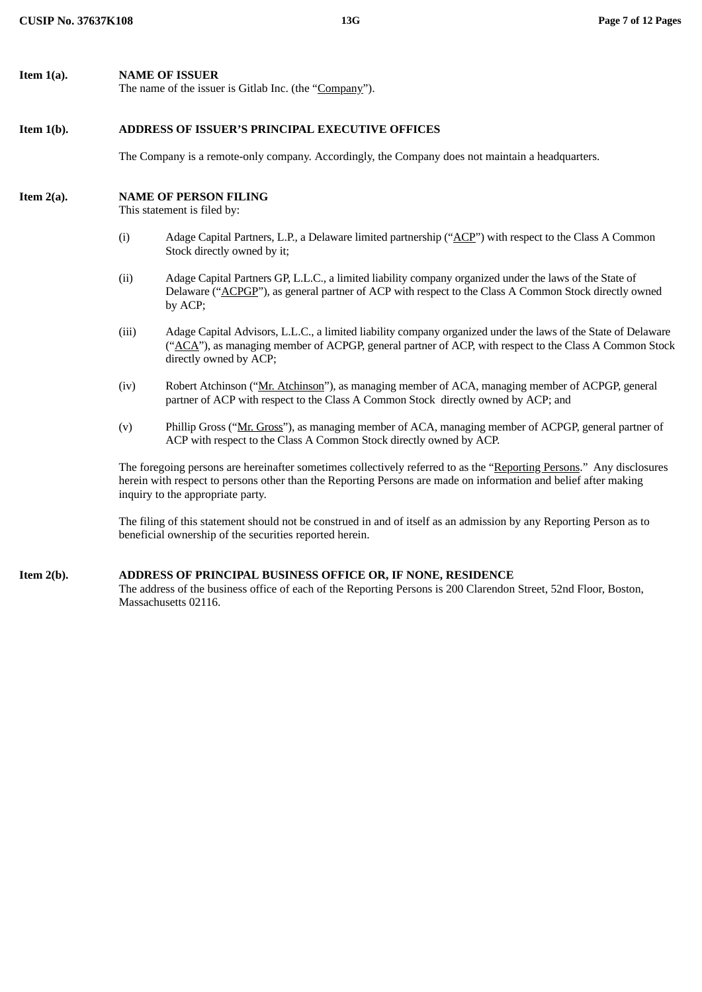| Item 1(a). | <b>NAME OF ISSUER</b>                                  |
|------------|--------------------------------------------------------|
|            | The name of the issuer is Gitlab Inc. (the "Company"). |

## **Item 1(b). ADDRESS OF ISSUER'S PRINCIPAL EXECUTIVE OFFICES**

The Company is a remote-only company. Accordingly, the Company does not maintain a headquarters.

# **Item 2(a). NAME OF PERSON FILING**

This statement is filed by:

- (i) Adage Capital Partners, L.P., a Delaware limited partnership ("ACP") with respect to the Class A Common Stock directly owned by it;
- (ii) Adage Capital Partners GP, L.L.C., a limited liability company organized under the laws of the State of Delaware ("ACPGP"), as general partner of ACP with respect to the Class A Common Stock directly owned by ACP;
- (iii) Adage Capital Advisors, L.L.C., a limited liability company organized under the laws of the State of Delaware ("ACA"), as managing member of ACPGP, general partner of ACP, with respect to the Class A Common Stock directly owned by ACP;
- (iv) Robert Atchinson ("Mr. Atchinson"), as managing member of ACA, managing member of ACPGP, general partner of ACP with respect to the Class A Common Stock directly owned by ACP; and
- (v) Phillip Gross ("Mr. Gross"), as managing member of ACA, managing member of ACPGP, general partner of ACP with respect to the Class A Common Stock directly owned by ACP.

The foregoing persons are hereinafter sometimes collectively referred to as the "Reporting Persons." Any disclosures herein with respect to persons other than the Reporting Persons are made on information and belief after making inquiry to the appropriate party.

The filing of this statement should not be construed in and of itself as an admission by any Reporting Person as to beneficial ownership of the securities reported herein.

**Item 2(b). ADDRESS OF PRINCIPAL BUSINESS OFFICE OR, IF NONE, RESIDENCE** The address of the business office of each of the Reporting Persons is 200 Clarendon Street, 52nd Floor, Boston, Massachusetts 02116.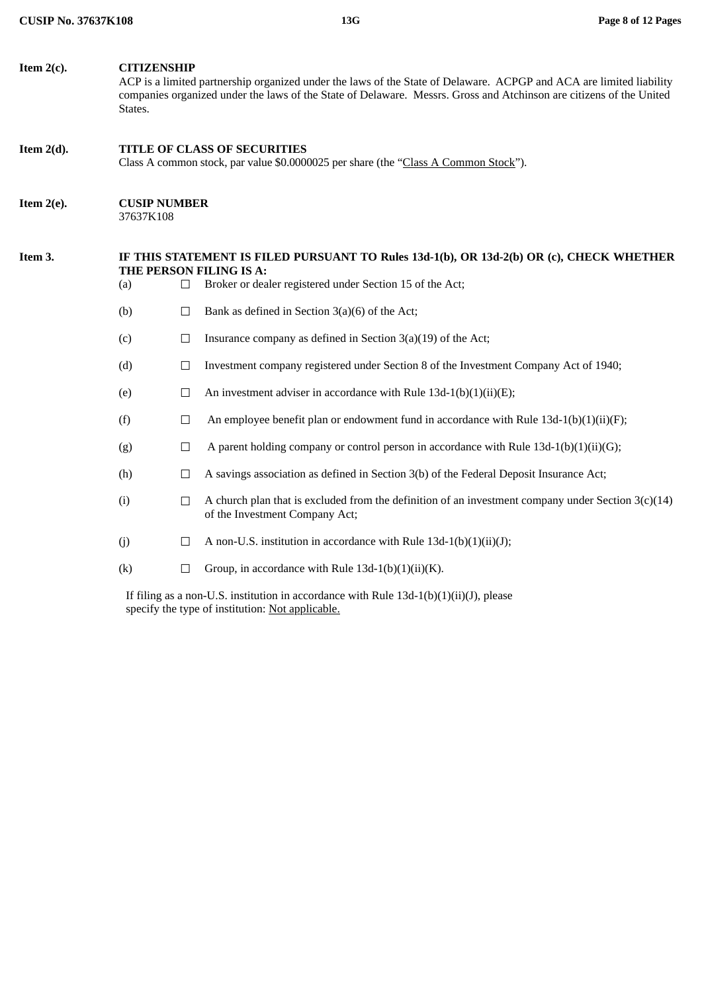| Item $2(c)$ . | <b>CITIZENSHIP</b><br>ACP is a limited partnership organized under the laws of the State of Delaware. ACPGP and ACA are limited liability<br>companies organized under the laws of the State of Delaware. Messrs. Gross and Atchinson are citizens of the United<br>States. |                |                                                                                                                                                                                 |
|---------------|-----------------------------------------------------------------------------------------------------------------------------------------------------------------------------------------------------------------------------------------------------------------------------|----------------|---------------------------------------------------------------------------------------------------------------------------------------------------------------------------------|
| Item $2(d)$ . | TITLE OF CLASS OF SECURITIES<br>Class A common stock, par value \$0.0000025 per share (the "Class A Common Stock").                                                                                                                                                         |                |                                                                                                                                                                                 |
| Item $2(e)$ . | <b>CUSIP NUMBER</b><br>37637K108                                                                                                                                                                                                                                            |                |                                                                                                                                                                                 |
| Item 3.       | (a)                                                                                                                                                                                                                                                                         | $\Box$         | IF THIS STATEMENT IS FILED PURSUANT TO Rules 13d-1(b), OR 13d-2(b) OR (c), CHECK WHETHER<br>THE PERSON FILING IS A:<br>Broker or dealer registered under Section 15 of the Act; |
|               | (b)                                                                                                                                                                                                                                                                         | $\Box$         | Bank as defined in Section 3(a)(6) of the Act;                                                                                                                                  |
|               | (c)                                                                                                                                                                                                                                                                         | $\Box$         | Insurance company as defined in Section 3(a)(19) of the Act;                                                                                                                    |
|               | (d)                                                                                                                                                                                                                                                                         | $\Box$         | Investment company registered under Section 8 of the Investment Company Act of 1940;                                                                                            |
|               | (e)                                                                                                                                                                                                                                                                         | $\Box$         | An investment adviser in accordance with Rule $13d-1(b)(1)(ii)(E)$ ;                                                                                                            |
|               | (f)                                                                                                                                                                                                                                                                         | $\Box$         | An employee benefit plan or endowment fund in accordance with Rule $13d-1(b)(1)(ii)(F)$ ;                                                                                       |
|               | (g)                                                                                                                                                                                                                                                                         | $\Box$         | A parent holding company or control person in accordance with Rule 13d-1(b)(1)(ii)(G);                                                                                          |
|               | (h)                                                                                                                                                                                                                                                                         | $\Box$         | A savings association as defined in Section 3(b) of the Federal Deposit Insurance Act;                                                                                          |
|               | (i)                                                                                                                                                                                                                                                                         | $\Box$         | A church plan that is excluded from the definition of an investment company under Section $3(c)(14)$<br>of the Investment Company Act;                                          |
|               | (i)                                                                                                                                                                                                                                                                         | $\mathbb{R}^n$ | A non-U.S. institution in accordance with Rule $13d-1(b)(1)(ii)(J)$ ;                                                                                                           |
|               | (k)                                                                                                                                                                                                                                                                         | $\Box$         | Group, in accordance with Rule $13d-1(b)(1)(ii)(K)$ .                                                                                                                           |

If filing as a non-U.S. institution in accordance with Rule 13d-1(b)(1)(ii)(J), please specify the type of institution: Not applicable.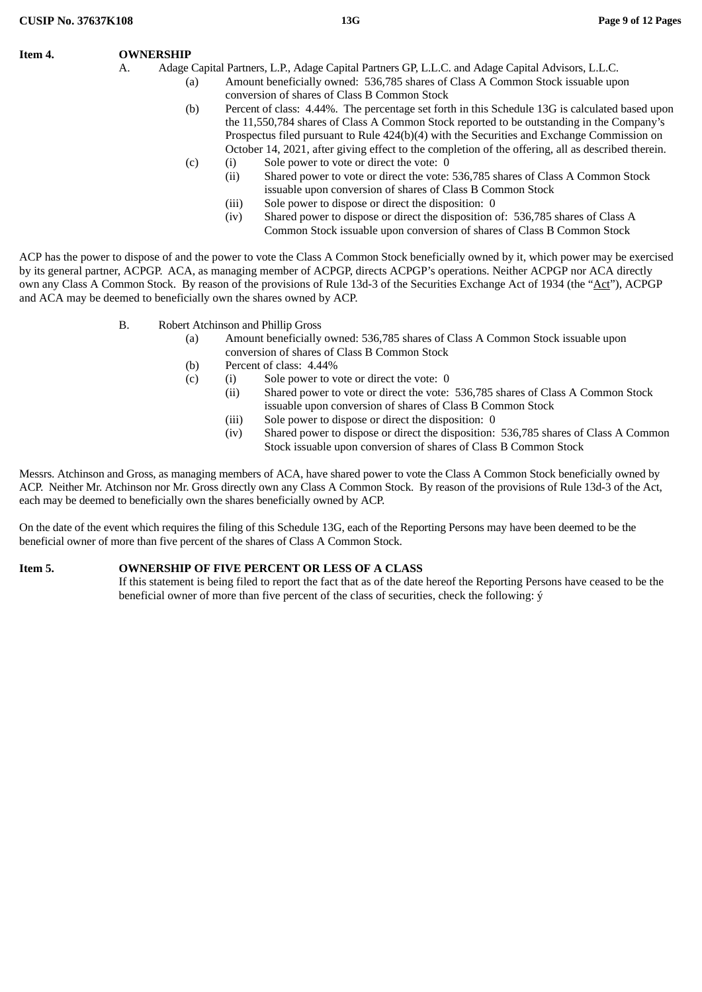# **Item 4. OWNERSHIP**

- 
- A. Adage Capital Partners, L.P., Adage Capital Partners GP, L.L.C. and Adage Capital Advisors, L.L.C.
	- (a) Amount beneficially owned: 536,785 shares of Class A Common Stock issuable upon conversion of shares of Class B Common Stock
	- (b) Percent of class: 4.44%. The percentage set forth in this Schedule 13G is calculated based upon the 11,550,784 shares of Class A Common Stock reported to be outstanding in the Company's Prospectus filed pursuant to Rule 424(b)(4) with the Securities and Exchange Commission on October 14, 2021, after giving effect to the completion of the offering, all as described therein.
	- (c) (i) Sole power to vote or direct the vote: 0
		- (ii) Shared power to vote or direct the vote: 536,785 shares of Class A Common Stock issuable upon conversion of shares of Class B Common Stock
			- (iii) Sole power to dispose or direct the disposition: 0
			- (iv) Shared power to dispose or direct the disposition of: 536,785 shares of Class A Common Stock issuable upon conversion of shares of Class B Common Stock

ACP has the power to dispose of and the power to vote the Class A Common Stock beneficially owned by it, which power may be exercised by its general partner, ACPGP. ACA, as managing member of ACPGP, directs ACPGP's operations. Neither ACPGP nor ACA directly own any Class A Common Stock. By reason of the provisions of Rule 13d-3 of the Securities Exchange Act of 1934 (the "Act"), ACPGP and ACA may be deemed to beneficially own the shares owned by ACP.

- B. Robert Atchinson and Phillip Gross
	- (a) Amount beneficially owned: 536,785 shares of Class A Common Stock issuable upon conversion of shares of Class B Common Stock
	- (b) Percent of class: 4.44%
	- (c) (i) Sole power to vote or direct the vote: 0
		- (ii) Shared power to vote or direct the vote: 536,785 shares of Class A Common Stock issuable upon conversion of shares of Class B Common Stock
		- (iii) Sole power to dispose or direct the disposition: 0
		- (iv) Shared power to dispose or direct the disposition: 536,785 shares of Class A Common Stock issuable upon conversion of shares of Class B Common Stock

Messrs. Atchinson and Gross, as managing members of ACA, have shared power to vote the Class A Common Stock beneficially owned by ACP. Neither Mr. Atchinson nor Mr. Gross directly own any Class A Common Stock. By reason of the provisions of Rule 13d-3 of the Act, each may be deemed to beneficially own the shares beneficially owned by ACP.

On the date of the event which requires the filing of this Schedule 13G, each of the Reporting Persons may have been deemed to be the beneficial owner of more than five percent of the shares of Class A Common Stock.

# **Item 5. OWNERSHIP OF FIVE PERCENT OR LESS OF A CLASS**

If this statement is being filed to report the fact that as of the date hereof the Reporting Persons have ceased to be the beneficial owner of more than five percent of the class of securities, check the following: ý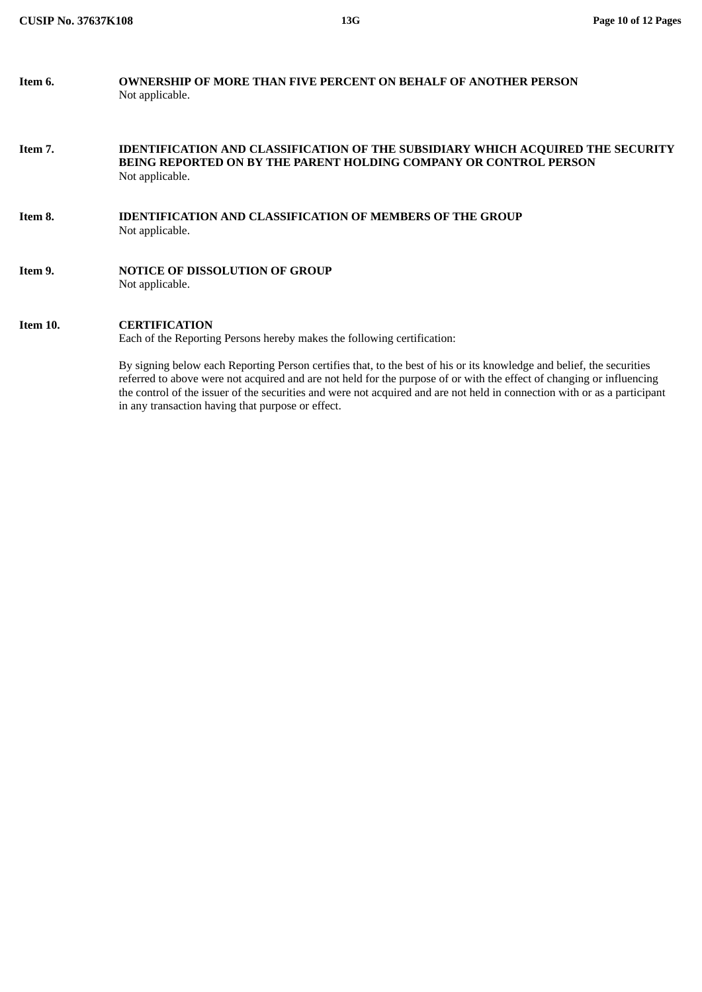| Item 6.  | <b>OWNERSHIP OF MORE THAN FIVE PERCENT ON BEHALF OF ANOTHER PERSON</b><br>Not applicable.                                                                                                                                                                                                                                                                                                                                        |
|----------|----------------------------------------------------------------------------------------------------------------------------------------------------------------------------------------------------------------------------------------------------------------------------------------------------------------------------------------------------------------------------------------------------------------------------------|
| Item 7.  | <b>IDENTIFICATION AND CLASSIFICATION OF THE SUBSIDIARY WHICH ACQUIRED THE SECURITY</b><br>BEING REPORTED ON BY THE PARENT HOLDING COMPANY OR CONTROL PERSON<br>Not applicable.                                                                                                                                                                                                                                                   |
| Item 8.  | <b>IDENTIFICATION AND CLASSIFICATION OF MEMBERS OF THE GROUP</b><br>Not applicable.                                                                                                                                                                                                                                                                                                                                              |
| Item 9.  | <b>NOTICE OF DISSOLUTION OF GROUP</b><br>Not applicable.                                                                                                                                                                                                                                                                                                                                                                         |
| Item 10. | <b>CERTIFICATION</b><br>Each of the Reporting Persons hereby makes the following certification:                                                                                                                                                                                                                                                                                                                                  |
|          | By signing below each Reporting Person certifies that, to the best of his or its knowledge and belief, the securities<br>referred to above were not acquired and are not held for the purpose of or with the effect of changing or influencing<br>the control of the issuer of the securities and were not acquired and are not held in connection with or as a participant<br>in any transaction having that purpose or effect. |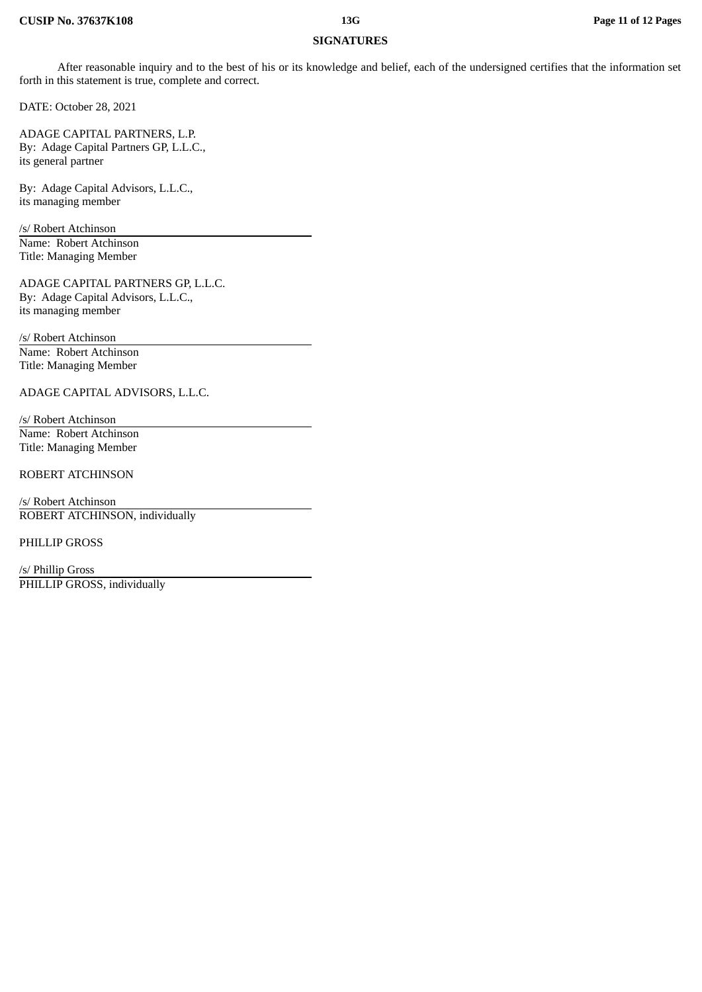## **SIGNATURES**

After reasonable inquiry and to the best of his or its knowledge and belief, each of the undersigned certifies that the information set forth in this statement is true, complete and correct.

DATE: October 28, 2021

ADAGE CAPITAL PARTNERS, L.P. By: Adage Capital Partners GP, L.L.C., its general partner

By: Adage Capital Advisors, L.L.C., its managing member

/s/ Robert Atchinson Name: Robert Atchinson Title: Managing Member

ADAGE CAPITAL PARTNERS GP, L.L.C. By: Adage Capital Advisors, L.L.C., its managing member

/s/ Robert Atchinson Name: Robert Atchinson Title: Managing Member

ADAGE CAPITAL ADVISORS, L.L.C.

/s/ Robert Atchinson Name: Robert Atchinson Title: Managing Member

ROBERT ATCHINSON

/s/ Robert Atchinson ROBERT ATCHINSON, individually

PHILLIP GROSS

/s/ Phillip Gross PHILLIP GROSS, individually